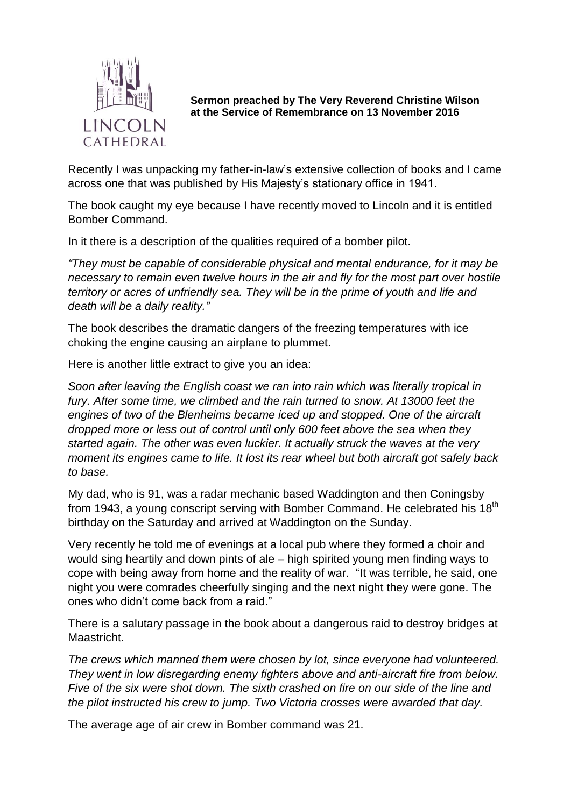

**Sermon preached by The Very Reverend Christine Wilson at the Service of Remembrance on 13 November 2016**

Recently I was unpacking my father-in-law's extensive collection of books and I came across one that was published by His Majesty's stationary office in 1941.

The book caught my eye because I have recently moved to Lincoln and it is entitled Bomber Command.

In it there is a description of the qualities required of a bomber pilot.

*"They must be capable of considerable physical and mental endurance, for it may be necessary to remain even twelve hours in the air and fly for the most part over hostile territory or acres of unfriendly sea. They will be in the prime of youth and life and death will be a daily reality."*

The book describes the dramatic dangers of the freezing temperatures with ice choking the engine causing an airplane to plummet.

Here is another little extract to give you an idea:

*Soon after leaving the English coast we ran into rain which was literally tropical in fury. After some time, we climbed and the rain turned to snow. At 13000 feet the engines of two of the Blenheims became iced up and stopped. One of the aircraft dropped more or less out of control until only 600 feet above the sea when they started again. The other was even luckier. It actually struck the waves at the very moment its engines came to life. It lost its rear wheel but both aircraft got safely back to base.*

My dad, who is 91, was a radar mechanic based Waddington and then Coningsby from 1943, a young conscript serving with Bomber Command. He celebrated his 18 $^{\rm th}$ birthday on the Saturday and arrived at Waddington on the Sunday.

Very recently he told me of evenings at a local pub where they formed a choir and would sing heartily and down pints of ale – high spirited young men finding ways to cope with being away from home and the reality of war. "It was terrible, he said, one night you were comrades cheerfully singing and the next night they were gone. The ones who didn't come back from a raid."

There is a salutary passage in the book about a dangerous raid to destroy bridges at Maastricht.

*The crews which manned them were chosen by lot, since everyone had volunteered. They went in low disregarding enemy fighters above and anti-aircraft fire from below. Five of the six were shot down. The sixth crashed on fire on our side of the line and the pilot instructed his crew to jump. Two Victoria crosses were awarded that day.*

The average age of air crew in Bomber command was 21.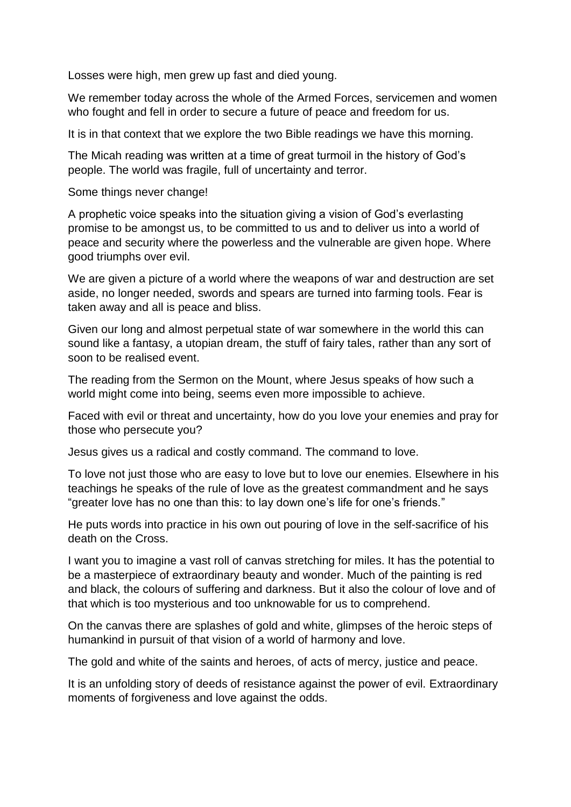Losses were high, men grew up fast and died young.

We remember today across the whole of the Armed Forces, servicemen and women who fought and fell in order to secure a future of peace and freedom for us.

It is in that context that we explore the two Bible readings we have this morning.

The Micah reading was written at a time of great turmoil in the history of God's people. The world was fragile, full of uncertainty and terror.

Some things never change!

A prophetic voice speaks into the situation giving a vision of God's everlasting promise to be amongst us, to be committed to us and to deliver us into a world of peace and security where the powerless and the vulnerable are given hope. Where good triumphs over evil.

We are given a picture of a world where the weapons of war and destruction are set aside, no longer needed, swords and spears are turned into farming tools. Fear is taken away and all is peace and bliss.

Given our long and almost perpetual state of war somewhere in the world this can sound like a fantasy, a utopian dream, the stuff of fairy tales, rather than any sort of soon to be realised event.

The reading from the Sermon on the Mount, where Jesus speaks of how such a world might come into being, seems even more impossible to achieve.

Faced with evil or threat and uncertainty, how do you love your enemies and pray for those who persecute you?

Jesus gives us a radical and costly command. The command to love.

To love not just those who are easy to love but to love our enemies. Elsewhere in his teachings he speaks of the rule of love as the greatest commandment and he says "greater love has no one than this: to lay down one's life for one's friends."

He puts words into practice in his own out pouring of love in the self-sacrifice of his death on the Cross.

I want you to imagine a vast roll of canvas stretching for miles. It has the potential to be a masterpiece of extraordinary beauty and wonder. Much of the painting is red and black, the colours of suffering and darkness. But it also the colour of love and of that which is too mysterious and too unknowable for us to comprehend.

On the canvas there are splashes of gold and white, glimpses of the heroic steps of humankind in pursuit of that vision of a world of harmony and love.

The gold and white of the saints and heroes, of acts of mercy, justice and peace.

It is an unfolding story of deeds of resistance against the power of evil. Extraordinary moments of forgiveness and love against the odds.